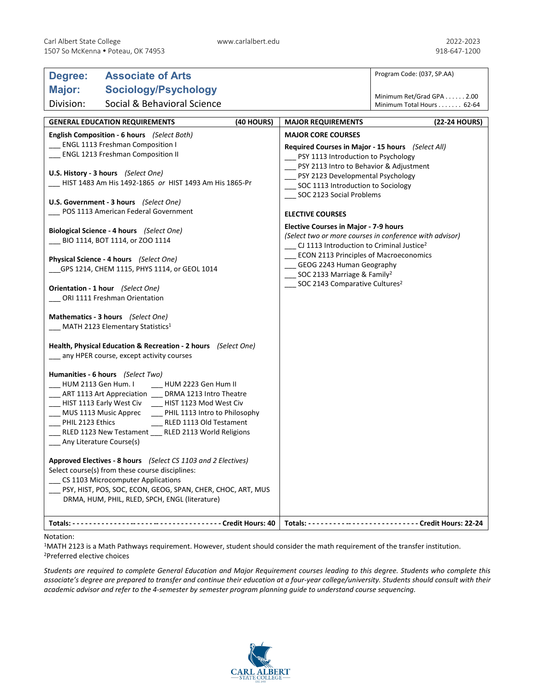| Degree:                                                                                                                                 | <b>Associate of Arts</b>                                                                                                                                                                                                                                                                                                           |                                     |                                                                                                                                                                                                                                  | Program Code: (037, SP.AA)                             |
|-----------------------------------------------------------------------------------------------------------------------------------------|------------------------------------------------------------------------------------------------------------------------------------------------------------------------------------------------------------------------------------------------------------------------------------------------------------------------------------|-------------------------------------|----------------------------------------------------------------------------------------------------------------------------------------------------------------------------------------------------------------------------------|--------------------------------------------------------|
| Major:                                                                                                                                  | <b>Sociology/Psychology</b>                                                                                                                                                                                                                                                                                                        |                                     |                                                                                                                                                                                                                                  |                                                        |
| Division:                                                                                                                               | Social & Behavioral Science                                                                                                                                                                                                                                                                                                        |                                     |                                                                                                                                                                                                                                  | Minimum Ret/Grad GPA 2.00<br>Minimum Total Hours 62-64 |
|                                                                                                                                         |                                                                                                                                                                                                                                                                                                                                    | (40 HOURS)                          | <b>MAJOR REQUIREMENTS</b>                                                                                                                                                                                                        | (22-24 HOURS)                                          |
| <b>GENERAL EDUCATION REQUIREMENTS</b><br>English Composition - 6 hours (Select Both)                                                    |                                                                                                                                                                                                                                                                                                                                    | <b>MAJOR CORE COURSES</b>           |                                                                                                                                                                                                                                  |                                                        |
| <b>ENGL 1113 Freshman Composition I</b>                                                                                                 |                                                                                                                                                                                                                                                                                                                                    |                                     | Required Courses in Major - 15 hours (Select All)                                                                                                                                                                                |                                                        |
| <b>ENGL 1213 Freshman Composition II</b>                                                                                                |                                                                                                                                                                                                                                                                                                                                    | PSY 1113 Introduction to Psychology |                                                                                                                                                                                                                                  |                                                        |
| U.S. History - 3 hours (Select One)<br>HIST 1483 Am His 1492-1865 or HIST 1493 Am His 1865-Pr<br>U.S. Government - 3 hours (Select One) |                                                                                                                                                                                                                                                                                                                                    |                                     | PSY 2113 Intro to Behavior & Adjustment<br>PSY 2123 Developmental Psychology<br>SOC 1113 Introduction to Sociology<br>____ SOC 2123 Social Problems                                                                              |                                                        |
| POS 1113 American Federal Government                                                                                                    |                                                                                                                                                                                                                                                                                                                                    |                                     | <b>ELECTIVE COURSES</b>                                                                                                                                                                                                          |                                                        |
| Biological Science - 4 hours (Select One)                                                                                               |                                                                                                                                                                                                                                                                                                                                    |                                     | Elective Courses in Major - 7-9 hours<br>(Select two or more courses in conference with advisor)                                                                                                                                 |                                                        |
| BIO 1114, BOT 1114, or ZOO 1114                                                                                                         |                                                                                                                                                                                                                                                                                                                                    |                                     | CJ 1113 Introduction to Criminal Justice <sup>2</sup><br><b>ECON 2113 Principles of Macroeconomics</b><br>_GEOG 2243 Human Geography<br>SOC 2133 Marriage & Family <sup>2</sup><br>__ SOC 2143 Comparative Cultures <sup>2</sup> |                                                        |
| Physical Science - 4 hours (Select One)                                                                                                 |                                                                                                                                                                                                                                                                                                                                    |                                     |                                                                                                                                                                                                                                  |                                                        |
| GPS 1214, CHEM 1115, PHYS 1114, or GEOL 1014                                                                                            |                                                                                                                                                                                                                                                                                                                                    |                                     |                                                                                                                                                                                                                                  |                                                        |
| Orientation - 1 hour (Select One)<br>ORI 1111 Freshman Orientation                                                                      |                                                                                                                                                                                                                                                                                                                                    |                                     |                                                                                                                                                                                                                                  |                                                        |
| Mathematics - 3 hours (Select One)                                                                                                      |                                                                                                                                                                                                                                                                                                                                    |                                     |                                                                                                                                                                                                                                  |                                                        |
| MATH 2123 Elementary Statistics <sup>1</sup>                                                                                            |                                                                                                                                                                                                                                                                                                                                    |                                     |                                                                                                                                                                                                                                  |                                                        |
| Health, Physical Education & Recreation - 2 hours (Select One)<br>_ any HPER course, except activity courses                            |                                                                                                                                                                                                                                                                                                                                    |                                     |                                                                                                                                                                                                                                  |                                                        |
| HUM 2113 Gen Hum. I<br>__ HIST 1113 Early West Civ<br>MUS 1113 Music Apprec<br>PHIL 2123 Ethics<br>Any Literature Course(s)             | Humanities - 6 hours (Select Two)<br>HUM 2223 Gen Hum II<br>__ ART 1113 Art Appreciation __ DRMA 1213 Intro Theatre<br>__ HIST 1123 Mod West Civ<br>PHIL 1113 Intro to Philosophy<br>RLED 1113 Old Testament<br>RLED 1123 New Testament RLED 2113 World Religions<br>Approved Electives - 8 hours (Select CS 1103 and 2 Electives) |                                     |                                                                                                                                                                                                                                  |                                                        |
|                                                                                                                                         | Select course(s) from these course disciplines:<br>CS 1103 Microcomputer Applications<br>PSY, HIST, POS, SOC, ECON, GEOG, SPAN, CHER, CHOC, ART, MUS<br>DRMA, HUM, PHIL, RLED, SPCH, ENGL (literature)                                                                                                                             |                                     |                                                                                                                                                                                                                                  |                                                        |
|                                                                                                                                         |                                                                                                                                                                                                                                                                                                                                    |                                     |                                                                                                                                                                                                                                  |                                                        |

## Notation:

1MATH 2123 is a Math Pathways requirement. However, student should consider the math requirement of the transfer institution. 2Preferred elective choices

*Students are required to complete General Education and Major Requirement courses leading to this degree. Students who complete this associate's degree are prepared to transfer and continue their education at a four-year college/university. Students should consult with their academic advisor and refer to the 4-semester by semester program planning guide to understand course sequencing.*